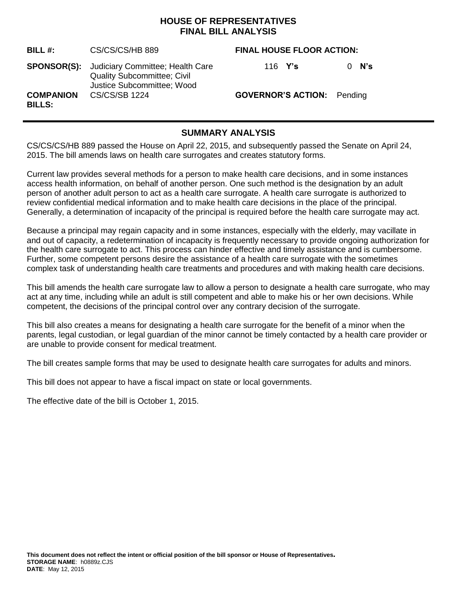### **HOUSE OF REPRESENTATIVES FINAL BILL ANALYSIS**

| BILL #:                           | CS/CS/CS/HB 889                                                                                                         | <b>FINAL HOUSE FLOOR ACTION:</b>  |  |
|-----------------------------------|-------------------------------------------------------------------------------------------------------------------------|-----------------------------------|--|
|                                   | <b>SPONSOR(S):</b> Judiciary Committee; Health Care<br><b>Quality Subcommittee; Civil</b><br>Justice Subcommittee; Wood | N's<br>116 $Y's$<br>0             |  |
| <b>COMPANION</b><br><b>BILLS:</b> | <b>CS/CS/SB 1224</b>                                                                                                    | <b>GOVERNOR'S ACTION:</b> Pending |  |

# **SUMMARY ANALYSIS**

CS/CS/CS/HB 889 passed the House on April 22, 2015, and subsequently passed the Senate on April 24, 2015. The bill amends laws on health care surrogates and creates statutory forms.

Current law provides several methods for a person to make health care decisions, and in some instances access health information, on behalf of another person. One such method is the designation by an adult person of another adult person to act as a health care surrogate. A health care surrogate is authorized to review confidential medical information and to make health care decisions in the place of the principal. Generally, a determination of incapacity of the principal is required before the health care surrogate may act.

Because a principal may regain capacity and in some instances, especially with the elderly, may vacillate in and out of capacity, a redetermination of incapacity is frequently necessary to provide ongoing authorization for the health care surrogate to act. This process can hinder effective and timely assistance and is cumbersome. Further, some competent persons desire the assistance of a health care surrogate with the sometimes complex task of understanding health care treatments and procedures and with making health care decisions.

This bill amends the health care surrogate law to allow a person to designate a health care surrogate, who may act at any time, including while an adult is still competent and able to make his or her own decisions. While competent, the decisions of the principal control over any contrary decision of the surrogate.

This bill also creates a means for designating a health care surrogate for the benefit of a minor when the parents, legal custodian, or legal guardian of the minor cannot be timely contacted by a health care provider or are unable to provide consent for medical treatment.

The bill creates sample forms that may be used to designate health care surrogates for adults and minors.

This bill does not appear to have a fiscal impact on state or local governments.

The effective date of the bill is October 1, 2015.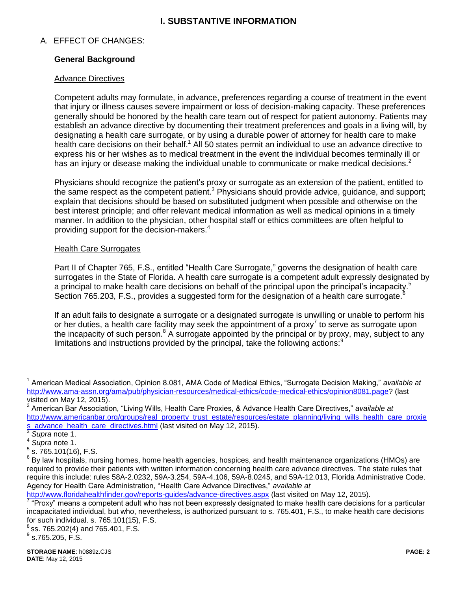## **I. SUBSTANTIVE INFORMATION**

### A. EFFECT OF CHANGES:

### **General Background**

#### Advance Directives

Competent adults may formulate, in advance, preferences regarding a course of treatment in the event that injury or illness causes severe impairment or loss of decision-making capacity. These preferences generally should be honored by the health care team out of respect for patient autonomy. Patients may establish an advance directive by documenting their treatment preferences and goals in a living will, by designating a health care surrogate, or by using a durable power of attorney for health care to make health care decisions on their behalf.<sup>1</sup> All 50 states permit an individual to use an advance directive to express his or her wishes as to medical treatment in the event the individual becomes terminally ill or has an injury or disease making the individual unable to communicate or make medical decisions.<sup>2</sup>

Physicians should recognize the patient's proxy or surrogate as an extension of the patient, entitled to the same respect as the competent patient.<sup>3</sup> Physicians should provide advice, guidance, and support; explain that decisions should be based on substituted judgment when possible and otherwise on the best interest principle; and offer relevant medical information as well as medical opinions in a timely manner. In addition to the physician, other hospital staff or ethics committees are often helpful to providing support for the decision-makers.<sup>4</sup>

#### Health Care Surrogates

Part II of Chapter 765, F.S., entitled "Health Care Surrogate," governs the designation of health care surrogates in the State of Florida. A health care surrogate is a competent adult expressly designated by a principal to make health care decisions on behalf of the principal upon the principal's incapacity.<sup>5</sup> Section 765.203, F.S., provides a suggested form for the designation of a health care surrogate.<sup>6</sup>

If an adult fails to designate a surrogate or a designated surrogate is unwilling or unable to perform his or her duties, a health care facility may seek the appointment of a proxy<sup>7</sup> to serve as surrogate upon the incapacity of such person. $8$  A surrogate appointed by the principal or by proxy, may, subject to any limitations and instructions provided by the principal, take the following actions:<sup>9</sup>

 $\overline{a}$ 

<http://www.floridahealthfinder.gov/reports-guides/advance-directives.aspx> (last visited on May 12, 2015).

ss. 765.202(4) and 765.401, F.S.

<sup>1</sup> American Medical Association, Opinion 8.081, AMA Code of Medical Ethics, "Surrogate Decision Making," *available at* [http://www.ama-assn.org/ama/pub/physician-resources/medical-ethics/code-medical-ethics/opinion8081.page?](http://www.ama-assn.org/ama/pub/physician-resources/medical-ethics/code-medical-ethics/opinion8081.page) (last visited on May 12, 2015).

<sup>2</sup> American Bar Association, "Living Wills, Health Care Proxies, & Advance Health Care Directives," *available at*  [http://www.americanbar.org/groups/real\\_property\\_trust\\_estate/resources/estate\\_planning/living\\_wills\\_health\\_care\\_proxie](http://www.americanbar.org/groups/real_property_trust_estate/resources/estate_planning/living_wills_health_care_proxies_advance_health_care_directives.html) [s\\_advance\\_health\\_care\\_directives.html](http://www.americanbar.org/groups/real_property_trust_estate/resources/estate_planning/living_wills_health_care_proxies_advance_health_care_directives.html)</u> (last visited on May 12, 2015).<br><sup>3</sup> Sunre pote 1

*Supra* note 1. 4

*Supra* note 1.

 $5$  s. 765.101(16), F.S.

 $^6$  By law hospitals, nursing homes, home health agencies, hospices, and health maintenance organizations (HMOs) are required to provide their patients with written information concerning health care advance directives. The state rules that require this include: rules 58A-2.0232, 59A-3.254, 59A-4.106, 59A-8.0245, and 59A-12.013, Florida Administrative Code. Agency for Health Care Administration, "Health Care Advance Directives," *available at*

<sup>&</sup>lt;sup>7</sup> "Proxy" means a competent adult who has not been expressly designated to make health care decisions for a particular incapacitated individual, but who, nevertheless, is authorized pursuant to s. 765.401, F.S., to make health care decisions for such individual. s. 765.101(15), F.S. 8

 $^9$  s.765.205, F.S.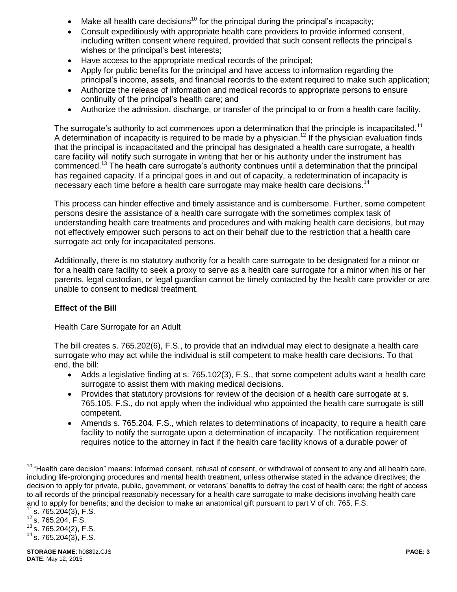- Make all health care decisions<sup>10</sup> for the principal during the principal's incapacity;
- Consult expeditiously with appropriate health care providers to provide informed consent, including written consent where required, provided that such consent reflects the principal's wishes or the principal's best interests;
- Have access to the appropriate medical records of the principal;
- Apply for public benefits for the principal and have access to information regarding the principal's income, assets, and financial records to the extent required to make such application;
- Authorize the release of information and medical records to appropriate persons to ensure continuity of the principal's health care; and
- Authorize the admission, discharge, or transfer of the principal to or from a health care facility.

The surrogate's authority to act commences upon a determination that the principle is incapacitated.<sup>11</sup> A determination of incapacity is required to be made by a physician.<sup>12</sup> If the physician evaluation finds that the principal is incapacitated and the principal has designated a health care surrogate, a health care facility will notify such surrogate in writing that her or his authority under the instrument has commenced.<sup>13</sup> The heath care surrogate's authority continues until a determination that the principal has regained capacity. If a principal goes in and out of capacity, a redetermination of incapacity is necessary each time before a health care surrogate may make health care decisions. 14

This process can hinder effective and timely assistance and is cumbersome. Further, some competent persons desire the assistance of a health care surrogate with the sometimes complex task of understanding health care treatments and procedures and with making health care decisions, but may not effectively empower such persons to act on their behalf due to the restriction that a health care surrogate act only for incapacitated persons.

Additionally, there is no statutory authority for a health care surrogate to be designated for a minor or for a health care facility to seek a proxy to serve as a health care surrogate for a minor when his or her parents, legal custodian, or legal guardian cannot be timely contacted by the health care provider or are unable to consent to medical treatment.

#### **Effect of the Bill**

#### Health Care Surrogate for an Adult

The bill creates s. 765.202(6), F.S., to provide that an individual may elect to designate a health care surrogate who may act while the individual is still competent to make health care decisions. To that end, the bill:

- Adds a legislative finding at s. 765.102(3), F.S., that some competent adults want a health care surrogate to assist them with making medical decisions.
- Provides that statutory provisions for review of the decision of a health care surrogate at s. 765.105, F.S., do not apply when the individual who appointed the health care surrogate is still competent.
- Amends s. 765.204, F.S., which relates to determinations of incapacity, to require a health care facility to notify the surrogate upon a determination of incapacity. The notification requirement requires notice to the attorney in fact if the health care facility knows of a durable power of

s. 765.204(3), F.S.

 $\overline{a}$ 

<sup>&</sup>lt;sup>10</sup> "Health care decision" means: informed consent, refusal of consent, or withdrawal of consent to any and all health care, including life-prolonging procedures and mental health treatment, unless otherwise stated in the advance directives; the decision to apply for private, public, government, or veterans' benefits to defray the cost of health care; the right of access to all records of the principal reasonably necessary for a health care surrogate to make decisions involving health care and to apply for benefits; and the decision to make an anatomical gift pursuant to part V of ch. 765, F.S.

 $^{12}$  s. 765.204, F.S.

 $13$  s.  $765.204(2)$ , F.S.

 $14$  s. 765.204(3), F.S.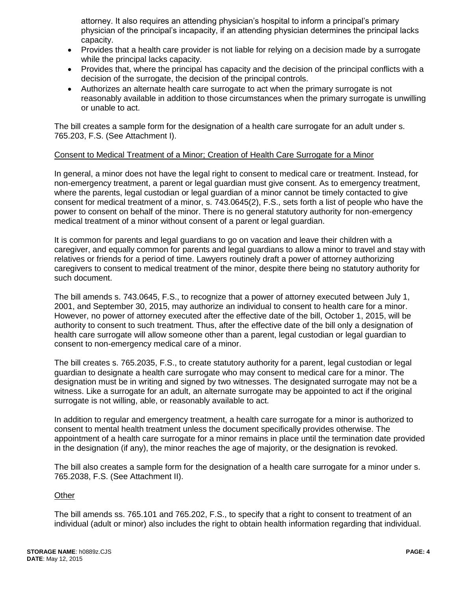attorney. It also requires an attending physician's hospital to inform a principal's primary physician of the principal's incapacity, if an attending physician determines the principal lacks capacity.

- Provides that a health care provider is not liable for relying on a decision made by a surrogate while the principal lacks capacity.
- Provides that, where the principal has capacity and the decision of the principal conflicts with a decision of the surrogate, the decision of the principal controls.
- Authorizes an alternate health care surrogate to act when the primary surrogate is not reasonably available in addition to those circumstances when the primary surrogate is unwilling or unable to act.

The bill creates a sample form for the designation of a health care surrogate for an adult under s. 765.203, F.S. (See Attachment I).

#### Consent to Medical Treatment of a Minor; Creation of Health Care Surrogate for a Minor

In general, a minor does not have the legal right to consent to medical care or treatment. Instead, for non-emergency treatment, a parent or legal guardian must give consent. As to emergency treatment, where the parents, legal custodian or legal guardian of a minor cannot be timely contacted to give consent for medical treatment of a minor, s. 743.0645(2), F.S., sets forth a list of people who have the power to consent on behalf of the minor. There is no general statutory authority for non-emergency medical treatment of a minor without consent of a parent or legal guardian.

It is common for parents and legal guardians to go on vacation and leave their children with a caregiver, and equally common for parents and legal guardians to allow a minor to travel and stay with relatives or friends for a period of time. Lawyers routinely draft a power of attorney authorizing caregivers to consent to medical treatment of the minor, despite there being no statutory authority for such document.

The bill amends s. 743.0645, F.S., to recognize that a power of attorney executed between July 1, 2001, and September 30, 2015, may authorize an individual to consent to health care for a minor. However, no power of attorney executed after the effective date of the bill, October 1, 2015, will be authority to consent to such treatment. Thus, after the effective date of the bill only a designation of health care surrogate will allow someone other than a parent, legal custodian or legal guardian to consent to non-emergency medical care of a minor.

The bill creates s. 765.2035, F.S., to create statutory authority for a parent, legal custodian or legal guardian to designate a health care surrogate who may consent to medical care for a minor. The designation must be in writing and signed by two witnesses. The designated surrogate may not be a witness. Like a surrogate for an adult, an alternate surrogate may be appointed to act if the original surrogate is not willing, able, or reasonably available to act.

In addition to regular and emergency treatment, a health care surrogate for a minor is authorized to consent to mental health treatment unless the document specifically provides otherwise. The appointment of a health care surrogate for a minor remains in place until the termination date provided in the designation (if any), the minor reaches the age of majority, or the designation is revoked.

The bill also creates a sample form for the designation of a health care surrogate for a minor under s. 765.2038, F.S. (See Attachment II).

#### **Other**

The bill amends ss. 765.101 and 765.202, F.S., to specify that a right to consent to treatment of an individual (adult or minor) also includes the right to obtain health information regarding that individual.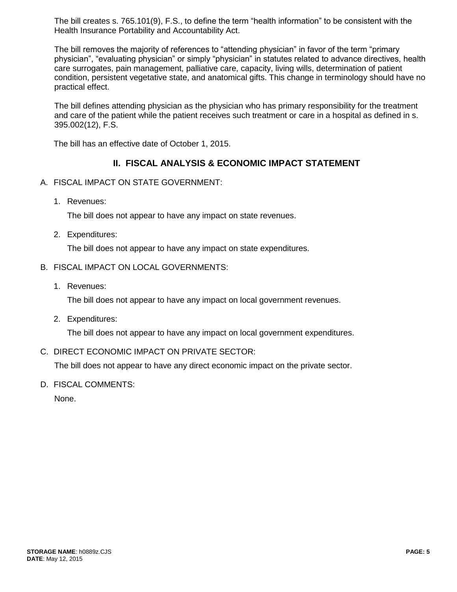The bill creates s. 765.101(9), F.S., to define the term "health information" to be consistent with the Health Insurance Portability and Accountability Act.

The bill removes the majority of references to "attending physician" in favor of the term "primary physician", "evaluating physician" or simply "physician" in statutes related to advance directives, health care surrogates, pain management, palliative care, capacity, living wills, determination of patient condition, persistent vegetative state, and anatomical gifts. This change in terminology should have no practical effect.

The bill defines attending physician as the physician who has primary responsibility for the treatment and care of the patient while the patient receives such treatment or care in a hospital as defined in s. 395.002(12), F.S.

The bill has an effective date of October 1, 2015.

## **II. FISCAL ANALYSIS & ECONOMIC IMPACT STATEMENT**

- A. FISCAL IMPACT ON STATE GOVERNMENT:
	- 1. Revenues:

The bill does not appear to have any impact on state revenues.

2. Expenditures:

The bill does not appear to have any impact on state expenditures.

#### B. FISCAL IMPACT ON LOCAL GOVERNMENTS:

1. Revenues:

The bill does not appear to have any impact on local government revenues.

2. Expenditures:

The bill does not appear to have any impact on local government expenditures.

C. DIRECT ECONOMIC IMPACT ON PRIVATE SECTOR:

The bill does not appear to have any direct economic impact on the private sector.

D. FISCAL COMMENTS:

None.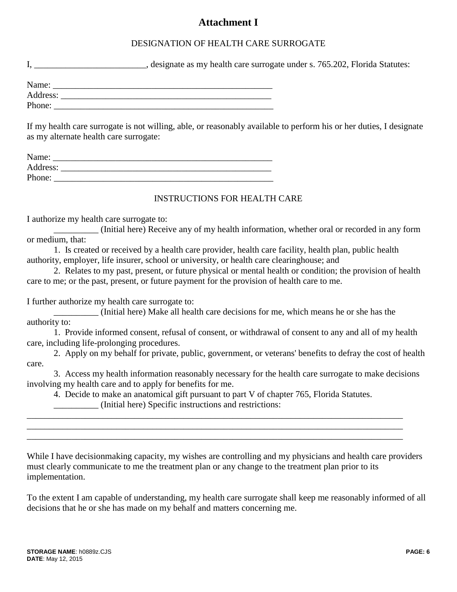# **Attachment I**

## DESIGNATION OF HEALTH CARE SURROGATE

I, Let the surrogate under s. 765.202, Florida Statutes:

| Name:    |  |
|----------|--|
| Address: |  |
| Phone:   |  |

If my health care surrogate is not willing, able, or reasonably available to perform his or her duties, I designate as my alternate health care surrogate:

| Name:    |  |
|----------|--|
| Address: |  |
| Phone:   |  |

#### INSTRUCTIONS FOR HEALTH CARE

I authorize my health care surrogate to:

\_\_\_\_\_\_\_\_\_\_ (Initial here) Receive any of my health information, whether oral or recorded in any form or medium, that:

1. Is created or received by a health care provider, health care facility, health plan, public health authority, employer, life insurer, school or university, or health care clearinghouse; and

2. Relates to my past, present, or future physical or mental health or condition; the provision of health care to me; or the past, present, or future payment for the provision of health care to me.

I further authorize my health care surrogate to:

\_\_\_\_\_\_\_\_\_\_ (Initial here) Make all health care decisions for me, which means he or she has the authority to:

1. Provide informed consent, refusal of consent, or withdrawal of consent to any and all of my health care, including life-prolonging procedures.

2. Apply on my behalf for private, public, government, or veterans' benefits to defray the cost of health care.

3. Access my health information reasonably necessary for the health care surrogate to make decisions involving my health care and to apply for benefits for me.

4. Decide to make an anatomical gift pursuant to part V of chapter 765, Florida Statutes.

\_\_\_\_\_\_\_\_\_\_\_\_\_\_\_\_\_\_\_\_\_\_\_\_\_\_\_\_\_\_\_\_\_\_\_\_\_\_\_\_\_\_\_\_\_\_\_\_\_\_\_\_\_\_\_\_\_\_\_\_\_\_\_\_\_\_\_\_\_\_\_\_\_\_\_\_\_\_\_\_\_\_\_\_ \_\_\_\_\_\_\_\_\_\_\_\_\_\_\_\_\_\_\_\_\_\_\_\_\_\_\_\_\_\_\_\_\_\_\_\_\_\_\_\_\_\_\_\_\_\_\_\_\_\_\_\_\_\_\_\_\_\_\_\_\_\_\_\_\_\_\_\_\_\_\_\_\_\_\_\_\_\_\_\_\_\_\_\_ \_\_\_\_\_\_\_\_\_\_\_\_\_\_\_\_\_\_\_\_\_\_\_\_\_\_\_\_\_\_\_\_\_\_\_\_\_\_\_\_\_\_\_\_\_\_\_\_\_\_\_\_\_\_\_\_\_\_\_\_\_\_\_\_\_\_\_\_\_\_\_\_\_\_\_\_\_\_\_\_\_\_\_\_

\_\_\_\_\_\_\_\_\_\_ (Initial here) Specific instructions and restrictions:

While I have decisionmaking capacity, my wishes are controlling and my physicians and health care providers must clearly communicate to me the treatment plan or any change to the treatment plan prior to its implementation.

To the extent I am capable of understanding, my health care surrogate shall keep me reasonably informed of all decisions that he or she has made on my behalf and matters concerning me.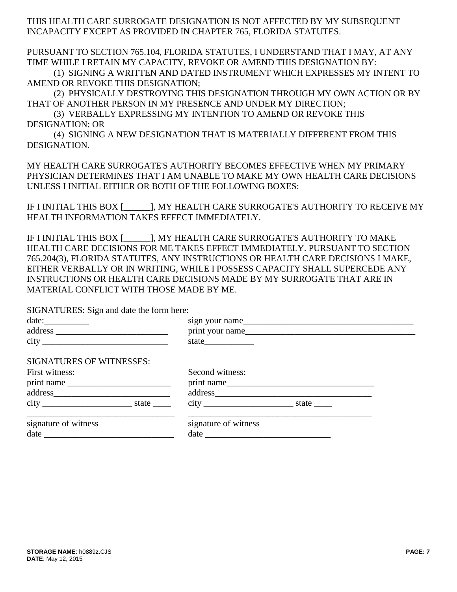THIS HEALTH CARE SURROGATE DESIGNATION IS NOT AFFECTED BY MY SUBSEQUENT INCAPACITY EXCEPT AS PROVIDED IN CHAPTER 765, FLORIDA STATUTES.

PURSUANT TO SECTION 765.104, FLORIDA STATUTES, I UNDERSTAND THAT I MAY, AT ANY TIME WHILE I RETAIN MY CAPACITY, REVOKE OR AMEND THIS DESIGNATION BY:

(1) SIGNING A WRITTEN AND DATED INSTRUMENT WHICH EXPRESSES MY INTENT TO AMEND OR REVOKE THIS DESIGNATION;

(2) PHYSICALLY DESTROYING THIS DESIGNATION THROUGH MY OWN ACTION OR BY THAT OF ANOTHER PERSON IN MY PRESENCE AND UNDER MY DIRECTION;

(3) VERBALLY EXPRESSING MY INTENTION TO AMEND OR REVOKE THIS DESIGNATION; OR

(4) SIGNING A NEW DESIGNATION THAT IS MATERIALLY DIFFERENT FROM THIS DESIGNATION.

MY HEALTH CARE SURROGATE'S AUTHORITY BECOMES EFFECTIVE WHEN MY PRIMARY PHYSICIAN DETERMINES THAT I AM UNABLE TO MAKE MY OWN HEALTH CARE DECISIONS UNLESS I INITIAL EITHER OR BOTH OF THE FOLLOWING BOXES:

IF I INITIAL THIS BOX [\_\_\_\_\_\_], MY HEALTH CARE SURROGATE'S AUTHORITY TO RECEIVE MY HEALTH INFORMATION TAKES EFFECT IMMEDIATELY.

IF I INITIAL THIS BOX [\_\_\_\_\_\_], MY HEALTH CARE SURROGATE'S AUTHORITY TO MAKE HEALTH CARE DECISIONS FOR ME TAKES EFFECT IMMEDIATELY. PURSUANT TO SECTION 765.204(3), FLORIDA STATUTES, ANY INSTRUCTIONS OR HEALTH CARE DECISIONS I MAKE, EITHER VERBALLY OR IN WRITING, WHILE I POSSESS CAPACITY SHALL SUPERCEDE ANY INSTRUCTIONS OR HEALTH CARE DECISIONS MADE BY MY SURROGATE THAT ARE IN MATERIAL CONFLICT WITH THOSE MADE BY ME.

SIGNATURES: Sign and date the form here:

|                                 |  | sign your name       |  |  |
|---------------------------------|--|----------------------|--|--|
|                                 |  | print your name      |  |  |
|                                 |  |                      |  |  |
| <b>SIGNATURES OF WITNESSES:</b> |  |                      |  |  |
| First witness:                  |  | Second witness:      |  |  |
|                                 |  | print name           |  |  |
|                                 |  | address              |  |  |
|                                 |  |                      |  |  |
| signature of witness            |  | signature of witness |  |  |
|                                 |  |                      |  |  |
|                                 |  |                      |  |  |